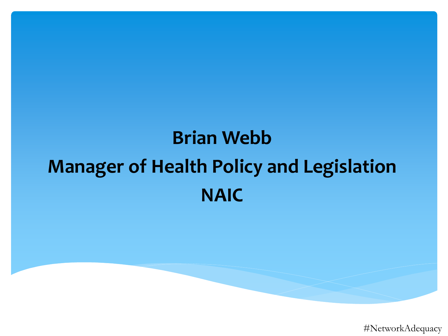### **Brian Webb Manager of Health Policy and Legislation NAIC**

#NetworkAdequacy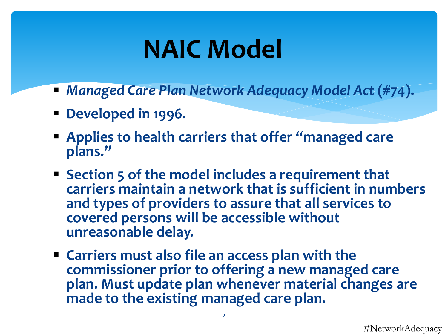# **NAIC Model**

- *Managed Care Plan Network Adequacy Model Act* **(#74).**
- **Developed in 1996.**
- **Applies to health carriers that offer "managed care plans."**
- **Section 5 of the model includes a requirement that carriers maintain a network that is sufficient in numbers and types of providers to assure that all services to covered persons will be accessible without unreasonable delay.**
- **Carriers must also file an access plan with the commissioner prior to offering a new managed care plan. Must update plan whenever material changes are made to the existing managed care plan.**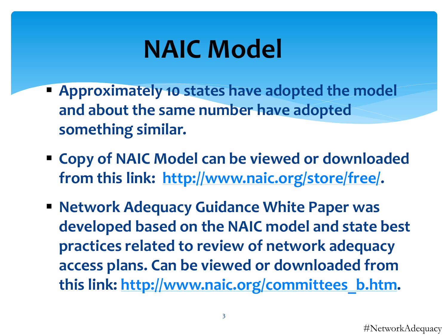# **NAIC Model**

- **Approximately 10 states have adopted the model and about the same number have adopted something similar.**
- **Copy of NAIC Model can be viewed or downloaded from this link: [http://www.naic.org/store/free/.](http://www.naic.org/store/free/)**
- **Network Adequacy Guidance White Paper was developed based on the NAIC model and state best practices related to review of network adequacy access plans. Can be viewed or downloaded from this link: [http://www.naic.org/committees\\_b.htm](http://www.naic.org/committees_b.htm).**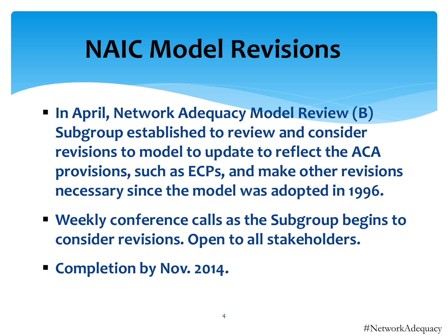## **NAIC Model Revisions**

- **In April, Network Adequacy Model Review (B) Subgroup established to review and consider revisions to model to update to reflect the ACA provisions, such as ECPs, and make other revisions necessary since the model was adopted in 1996.**
- **Weekly conference calls as the Subgroup begins to consider revisions. Open to all stakeholders.**
- **Completion by Nov. 2014.**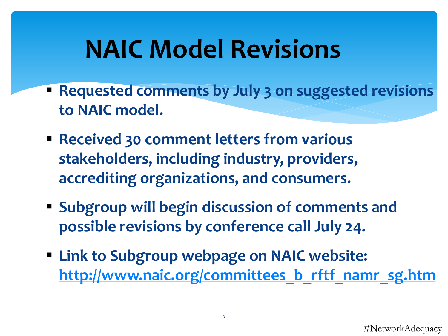# **NAIC Model Revisions**

- **Requested comments by July 3 on suggested revisions to NAIC model.**
- **Received 30 comment letters from various stakeholders, including industry, providers, accrediting organizations, and consumers.**
- **Subgroup will begin discussion of comments and possible revisions by conference call July 24.**
- **Link to Subgroup webpage on NAIC website: [http://www.naic.org/committees\\_b\\_rftf\\_namr\\_sg.htm](http://www.naic.org/committees_b_rftf_namr_sg.htm)**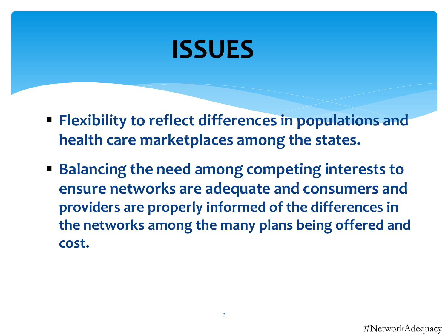## **ISSUES**

- **Flexibility to reflect differences in populations and health care marketplaces among the states.**
- **Balancing the need among competing interests to ensure networks are adequate and consumers and providers are properly informed of the differences in the networks among the many plans being offered and cost.**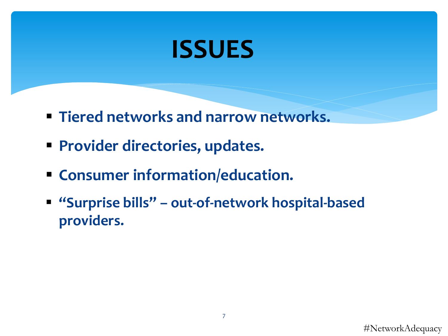### **ISSUES**

- **Tiered networks and narrow networks.**
- **Provider directories, updates.**
- **Consumer information/education.**
- **"Surprise bills" – out-of-network hospital-based providers.**